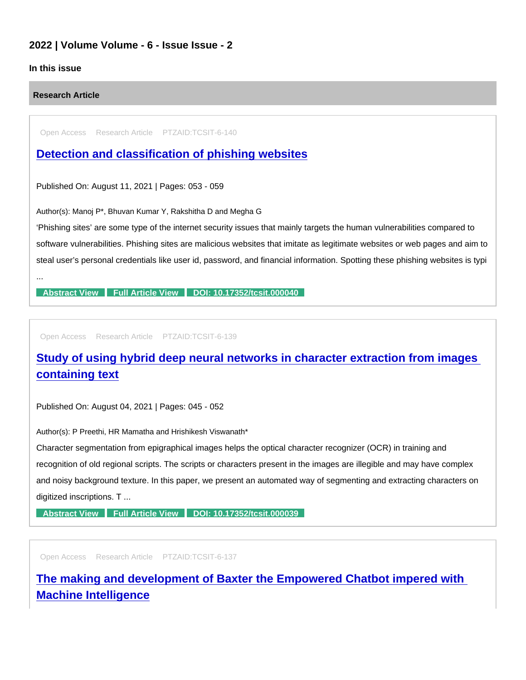## 2022 | Volume Volume - 6 - Issue Issue - 2

## In this issue

Research Article

Open Access Research Article PTZAID:TCSIT-6-140

[Detection and classification of phishing websites](https://www.peertechzpublications.com/articles/detection-and-classification-of-phishing-websites)

Published On: August 11, 2021 | Pages: 053 - 059

Author(s): Manoj P\*, Bhuvan Kumar Y, Rakshitha D and Megha G

'Phishing sites' are some type of the internet security issues that mainly targets the human vulnerabilities compared to software vulnerabilities. Phishing sites are malicious websites that imitate as legitimate websites or web pages and aim to steal user's personal credentials like user id, password, and financial information. Spotting these phishing websites is typi

...

[Abstract View](https://www.peertechzpublications.com/abstracts/detection-and-classification-of-phishing-websites) [Full Article View](https://www.peertechzpublications.com/articles/detection-and-classification-of-phishing-websites) [DOI: 10.17352/tcsit.000040](http://dx.doi.org/10.17352/tcsit.000040)

Open Access Research Article PTZAID:TCSIT-6-139

## [Study of using hybrid deep neural networks in character extraction from images](https://www.peertechzpublications.com/articles/study-of-using-hybrid-deep-neural-networks-in-character-extraction-from-images-containing-text)  containing text

Published On: August 04, 2021 | Pages: 045 - 052

Author(s): P Preethi, HR Mamatha and Hrishikesh Viswanath\*

Character segmentation from epigraphical images helps the optical character recognizer (OCR) in training and recognition of old regional scripts. The scripts or characters present in the images are illegible and may have complex and noisy background texture. In this paper, we present an automated way of segmenting and extracting characters on digitized inscriptions. T ...

[Abstract View](https://www.peertechzpublications.com/abstracts/study-of-using-hybrid-deep-neural-networks-in-character-extraction-from-images-containing-text) [Full Article View](https://www.peertechzpublications.com/articles/study-of-using-hybrid-deep-neural-networks-in-character-extraction-from-images-containing-text) [DOI: 10.17352/tcsit.000039](http://dx.doi.org/10.17352/tcsit.000039)

Open Access Research Article PTZAID:TCSIT-6-137

[The making and development of Baxter the Empowered Chatbot impered with](https://www.peertechzpublications.com/articles/the-making-and-development-of-baxter-the-empowered-chatbot-impered-with-machine-intelligence)  Machine Intelligence